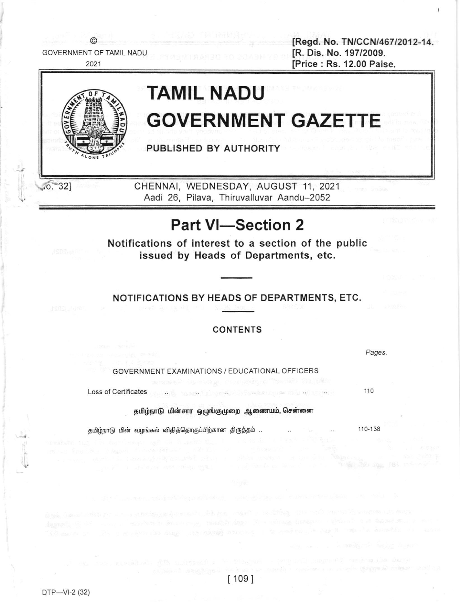

# Part VI-Section 2

Notifications of interest to a section of the public issued by Heads of Departments, etc.

## NOTIFICATIONS BY HEADS OF DEPARTMENTS, ETC.

## CONTENTS

Pages

I

GOVERNMENT EXAMINATIONS / EDUCATIONAL OFFICERS

Loss of Certificates

தமிழ்நாடு மின்சார ஒழுங்குமுறை ஆணையம், சென்னை

தமிழ்நாடு மின் வழங்கல் விதித்தொகுப்பிற்கான திருத்தம் ..

110-138

110

 $[109]$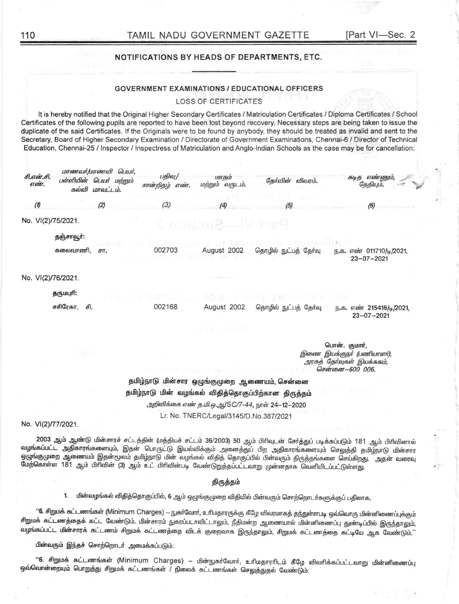## NOTIFICATIONS BY HEADS OF DEPARTMENTS, ETC.

#### **GOVERNMENT EXAMINATIONS / EDUCATIONAL OFFICERS**

### **LOSS OF CERTIFICATES**

It is hereby notified that the Original Higher Secondary Certificates / Matriculation Certificates / Diploma Certificates / School Certificates of the following pupils are reported to have been lost beyond recovery. Necessary steps are being taken to issue the duplicate of the said Certificates. If the Originals were to be found by anybody, they should be treated as invalid and sent to the Secretary, Board of Higher Secondary Examination / Directorate of Government Examinations, Chennai-6 / Director of Technical Education, Chennai-25 / Inspector / Inspectress of Matriculation and Anglo-Indian Schools as the case may be for cancellation:

| சி.என்.சி.<br><i><b>67600T.</b></i> | மாணவர்/மாணவி பெயர்,<br>பள்ளியின் பெயர் மற்றும்<br>கல்வி மாவட்டம். | பதிவு/<br>சான்றிகழ்<br><b>6Т600Т.</b>                | மாகம்<br>மற்றும் வருடம்.               | தேர்வின் விவரம்.                                | கடித எண்ணும்,<br>கேகியம்.                                                                   |
|-------------------------------------|-------------------------------------------------------------------|------------------------------------------------------|----------------------------------------|-------------------------------------------------|---------------------------------------------------------------------------------------------|
| $\boldsymbol{\theta}$               | (2)                                                               | (3)                                                  | (4)                                    | (5)                                             | (6)                                                                                         |
|                                     | No. VI(2)/75/2021.                                                |                                                      | Part Vi—Rection 2                      |                                                 |                                                                                             |
|                                     | தஞ்சாவூர்:                                                        |                                                      |                                        |                                                 |                                                                                             |
|                                     | கலைவாணி,<br>சπ.                                                   | 002703                                               | August 2002                            | தொழில் நுட்பத் தேர்வு                           | ந.க. எண் 011710/டி/2021,<br>$23 - 07 - 2021$                                                |
|                                     | No. VI(2)/76/2021.                                                |                                                      |                                        |                                                 |                                                                                             |
|                                     | தருமபுரி:                                                         |                                                      |                                        |                                                 |                                                                                             |
|                                     | சசிரேகா,<br>சி.                                                   | 002168                                               | August 2002                            | தொழில் நுட்பத் தேர்வு                           | ந.க. எண் 215416/டி/2021,<br>$23 - 07 - 2021$                                                |
|                                     |                                                                   |                                                      | 짓 씨가 그렇게 있어.                           |                                                 |                                                                                             |
|                                     | 7 BISH                                                            |                                                      |                                        |                                                 | பொன். குமார்,<br>இணை இயக்குநர் (பணியாளர்),<br>அரசுத் தேர்வுகள் இயக்ககம்,<br>சென்னை-600 006. |
|                                     |                                                                   | தமிழ்நாடு மின்சார ஒழுங்குமுறை ஆணையம், சென்னை         |                                        |                                                 |                                                                                             |
|                                     |                                                                   | தமிழ்நாடு மின் வழங்கல் விதித்தொகுப்பிற்கான திருத்தம் |                                        |                                                 |                                                                                             |
|                                     |                                                                   |                                                      |                                        | அறிவிக்கை எண் த.மி.ஒ.ஆ/SC/7-44, நாள் 24-12-2020 |                                                                                             |
|                                     |                                                                   |                                                      | Lr. No. TNERC/Legal/3145/D.No.387/2021 |                                                 |                                                                                             |

No. VI(2)/77/2021.

2003 ஆம் ஆண்டு மின்சாரச் சட்டத்தின் (மத்தியச் சட்டம் 36/2003) 50 ஆம் பிரிவுடன் சேர்த்துப் படிக்கப்படும் 181 ஆம் பிரிவினால் வழங்கப்பட்ட அதிகாரங்களையும், இதன் பொருட்டு இயல்விக்கும் அனைத்துப் பிற அதிகாரங்களையும் செலுத்தி தமிழ்நாடு மின்சார ஒழுங்குமுறை ஆணையம் இதன்மூலம் தமிழ்நாடு மின் வழங்கல் விதித் தொகுப்பில் பின்வரும் திருத்தங்களை செய்கிறது. அதன் வரைவு மேற்கொள்ள 181 ஆம் பிரிவின் (3) ஆம் உட் பிரிவின்படி வேண்டுறுத்தப்பட்டவாறு முன்னதாக வெளியிடப்பட்டுள்ளது.

#### திருத்தம்

1. மின்வழங்கல் விதித்தொகுப்பில், 6 ஆம் ஒழுங்குமுறை விதியில் பின்வரும் சொற்றொடா்களுக்குப் பதிலாக,

''6. சிறுமக் கட்டணங்கள் (Minimum Charges) – நுகா்வோா், உரிமதாரருக்கு கீழே விவரமாகத் தந்துள்ளபடி ஒவ்வொரு மின்னிணைப்புக்கும் சிறுமக் கட்டணத்தைக் கட்ட வேண்டும். மின்சாரம் நுகரப்படாவிட்டாலும், நீதிமன்ற ஆணையால் மின்னிணைப்பு துண்டிப்பில் இருந்தாலும், வழங்கப்பட்ட மின்சாரக் கட்டணம் சிறுமக் கட்டணத்தை விடக் குறைவாக இருந்தாலும், சிறுமக் கட்டணத்தை கட்டியே ஆக வேண்டும்.''

பின்வரும் இந்தச் சொற்றொடர் அமைக்கப்படும்:

''6. சிறுமக் கட்டணங்கள் (Minimum Charges) – மின்நுகர்வோர், உரிமதாரரிடம் கீழே விவரிக்கப்பட்டவாறு மின்னிணைப்பு ஒவ்வொன்றையும் பொறுத்து சிறுமக் கட்டணங்கள் / நிலைக் கட்டணங்கள் செலுத்துதல் வேண்டும்.